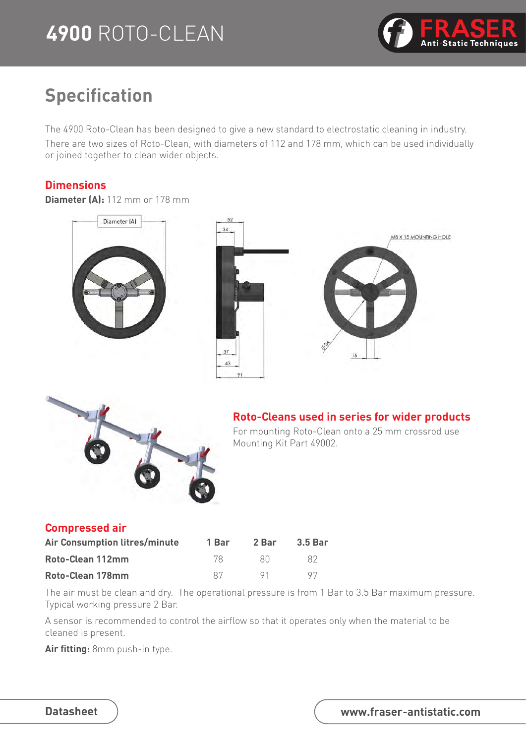## **4900** ROTO-CLEAN



### **Specification**

The 4900 Roto-Clean has been designed to give a new standard to electrostatic cleaning in industry. There are two sizes of Roto-Clean, with diameters of 112 and 178 mm, which can be used individually or joined together to clean wider objects.

#### **Dimensions**

#### **Diameter (A):** 112 mm or 178 mm

Diameter (A)





#### **Roto-Cleans used in series for wider products**

For mounting Roto-Clean onto a 25 mm crossrod use Mounting Kit Part 49002.

#### **Compressed air**

| Air Consumption litres/minute | 1 Bar | 2 Bar | <b>3.5 Bar</b> |
|-------------------------------|-------|-------|----------------|
| Roto-Clean 112mm              | 78.   | -80   | -87            |
| Roto-Clean 178mm              | 87    | 91    | 97             |

The air must be clean and dry. The operational pressure is from 1 Bar to 3.5 Bar maximum pressure. Typical working pressure 2 Bar.

A sensor is recommended to control the airflow so that it operates only when the material to be cleaned is present.

**Air fitting:** 8mm push-in type.

| <b>Datasheet</b> |
|------------------|
|------------------|